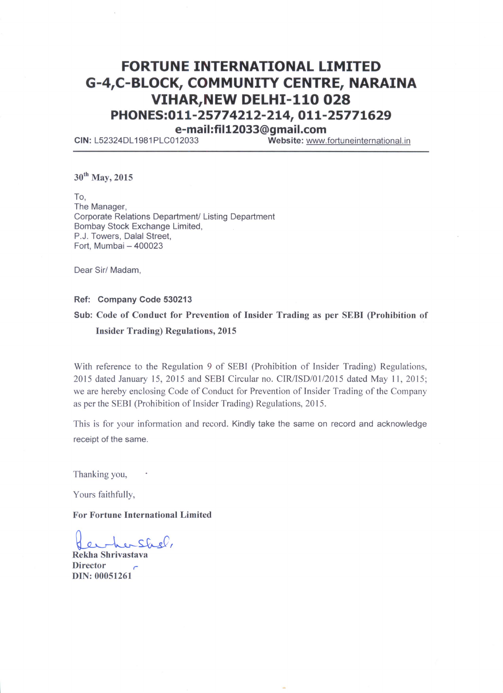# **FORTUNE INTERNATIONAL LIMITED** G-4,C-BLOCK, COMMUNITY CENTRE, NARAINA **VIHAR, NEW DELHI-110 028** PHONES:011-25774212-214, 011-25771629

e-mail:fil12033@gmail.com

Website: www.fortuneinternational.in CIN: L52324DL1981PLC012033

30<sup>th</sup> May, 2015

To, The Manager, Corporate Relations Department/ Listing Department Bombay Stock Exchange Limited, P.J. Towers, Dalal Street, Fort, Mumbai - 400023

Dear Sir/ Madam,

#### Ref: Company Code 530213

# Sub: Code of Conduct for Prevention of Insider Trading as per SEBI (Prohibition of **Insider Trading) Regulations, 2015**

With reference to the Regulation 9 of SEBI (Prohibition of Insider Trading) Regulations, 2015 dated January 15, 2015 and SEBI Circular no. CIR/ISD/01/2015 dated May 11, 2015; we are hereby enclosing Code of Conduct for Prevention of Insider Trading of the Company as per the SEBI (Prohibition of Insider Trading) Regulations, 2015.

This is for your information and record. Kindly take the same on record and acknowledge receipt of the same.

Thanking you,

Yours faithfully,

**For Fortune International Limited** 

hershel,

Rekha Shrivastava **Director** DIN: 00051261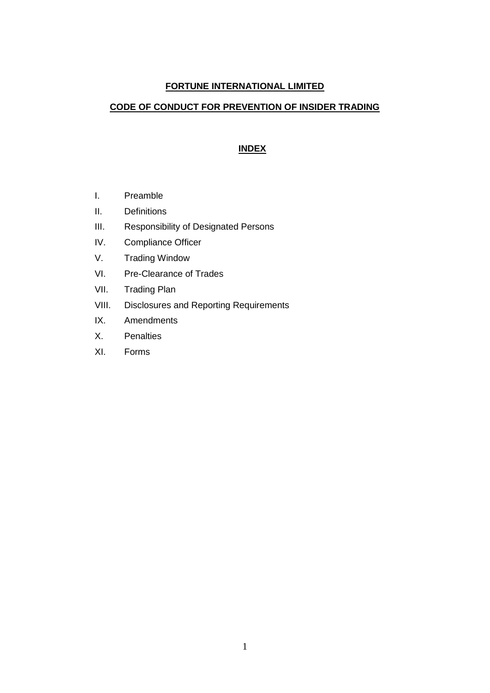### **FORTUNE INTERNATIONAL LIMITED**

### **CODE OF CONDUCT FOR PREVENTION OF INSIDER TRADING**

### **INDEX**

- I. Preamble
- II. Definitions
- III. Responsibility of Designated Persons
- IV. Compliance Officer
- V. Trading Window
- VI. Pre-Clearance of Trades
- VII. Trading Plan
- VIII. Disclosures and Reporting Requirements
- IX. Amendments
- X. Penalties
- XI. Forms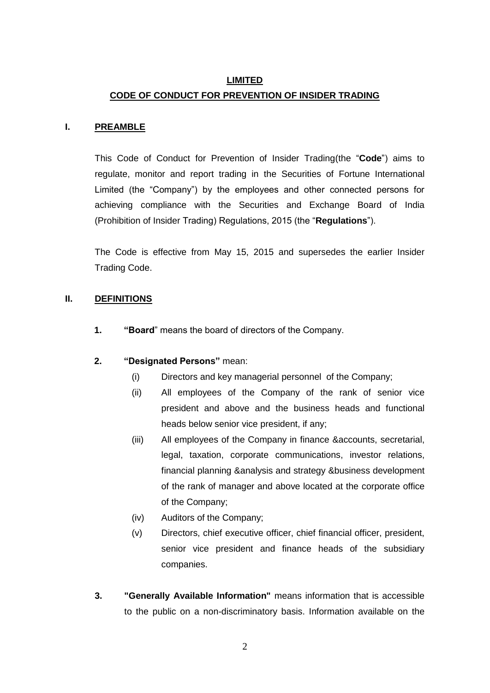### **LIMITED**

### **CODE OF CONDUCT FOR PREVENTION OF INSIDER TRADING**

### **I. PREAMBLE**

This Code of Conduct for Prevention of Insider Trading(the "**Code**") aims to regulate, monitor and report trading in the Securities of Fortune International Limited (the "Company") by the employees and other connected persons for achieving compliance with the Securities and Exchange Board of India (Prohibition of Insider Trading) Regulations, 2015 (the "**Regulations**").

The Code is effective from May 15, 2015 and supersedes the earlier Insider Trading Code.

### **II. DEFINITIONS**

**1. "Board**" means the board of directors of the Company.

### **2. "Designated Persons"** mean:

- (i) Directors and key managerial personnel of the Company;
- (ii) All employees of the Company of the rank of senior vice president and above and the business heads and functional heads below senior vice president, if any;
- (iii) All employees of the Company in finance &accounts, secretarial, legal, taxation, corporate communications, investor relations, financial planning &analysis and strategy &business development of the rank of manager and above located at the corporate office of the Company;
- (iv) Auditors of the Company;
- (v) Directors, chief executive officer, chief financial officer, president, senior vice president and finance heads of the subsidiary companies.
- **3. "Generally Available Information"** means information that is accessible to the public on a non-discriminatory basis. Information available on the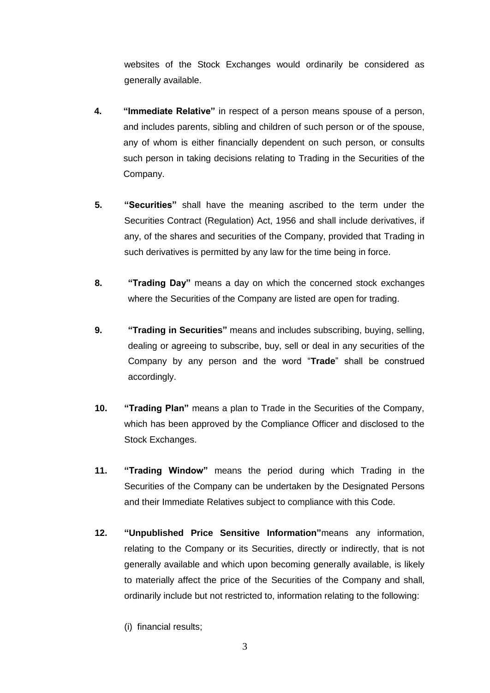websites of the Stock Exchanges would ordinarily be considered as generally available.

- **4. "Immediate Relative"** in respect of a person means spouse of a person, and includes parents, sibling and children of such person or of the spouse, any of whom is either financially dependent on such person, or consults such person in taking decisions relating to Trading in the Securities of the Company.
- **5. "Securities"** shall have the meaning ascribed to the term under the Securities Contract (Regulation) Act, 1956 and shall include derivatives, if any, of the shares and securities of the Company, provided that Trading in such derivatives is permitted by any law for the time being in force.
- **8. "Trading Day"** means a day on which the concerned stock exchanges where the Securities of the Company are listed are open for trading.
- **9. "Trading in Securities"** means and includes subscribing, buying, selling, dealing or agreeing to subscribe, buy, sell or deal in any securities of the Company by any person and the word "**Trade**" shall be construed accordingly.
- **10. "Trading Plan"** means a plan to Trade in the Securities of the Company, which has been approved by the Compliance Officer and disclosed to the Stock Exchanges.
- **11. "Trading Window"** means the period during which Trading in the Securities of the Company can be undertaken by the Designated Persons and their Immediate Relatives subject to compliance with this Code.
- **12. "Unpublished Price Sensitive Information"**means any information, relating to the Company or its Securities, directly or indirectly, that is not generally available and which upon becoming generally available, is likely to materially affect the price of the Securities of the Company and shall, ordinarily include but not restricted to, information relating to the following:
	- (i) financial results;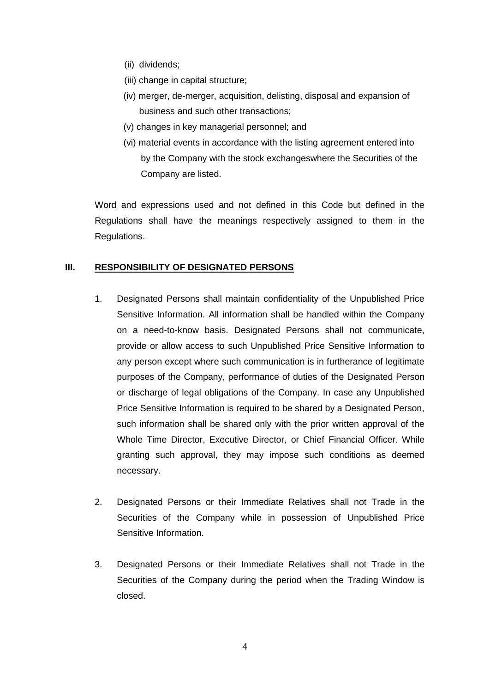- (ii) dividends;
- (iii) change in capital structure;
- (iv) merger, de-merger, acquisition, delisting, disposal and expansion of business and such other transactions;
- (v) changes in key managerial personnel; and
- (vi) material events in accordance with the listing agreement entered into by the Company with the stock exchangeswhere the Securities of the Company are listed.

Word and expressions used and not defined in this Code but defined in the Regulations shall have the meanings respectively assigned to them in the Regulations.

### **III. RESPONSIBILITY OF DESIGNATED PERSONS**

- 1. Designated Persons shall maintain confidentiality of the Unpublished Price Sensitive Information. All information shall be handled within the Company on a need-to-know basis. Designated Persons shall not communicate, provide or allow access to such Unpublished Price Sensitive Information to any person except where such communication is in furtherance of legitimate purposes of the Company, performance of duties of the Designated Person or discharge of legal obligations of the Company. In case any Unpublished Price Sensitive Information is required to be shared by a Designated Person, such information shall be shared only with the prior written approval of the Whole Time Director, Executive Director, or Chief Financial Officer. While granting such approval, they may impose such conditions as deemed necessary.
- 2. Designated Persons or their Immediate Relatives shall not Trade in the Securities of the Company while in possession of Unpublished Price Sensitive Information.
- 3. Designated Persons or their Immediate Relatives shall not Trade in the Securities of the Company during the period when the Trading Window is closed.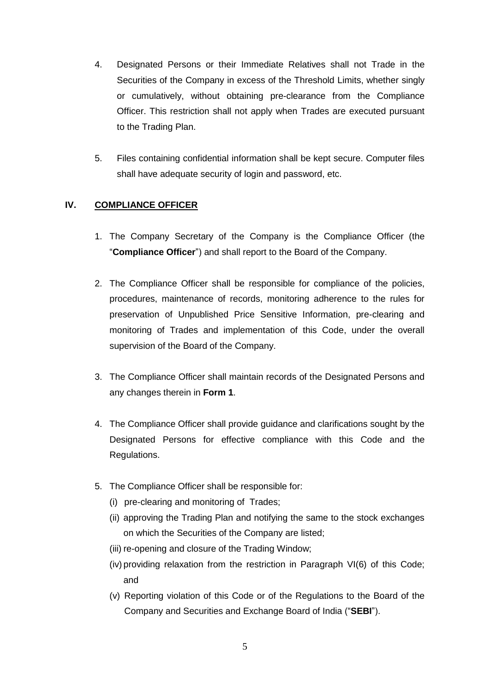- 4. Designated Persons or their Immediate Relatives shall not Trade in the Securities of the Company in excess of the Threshold Limits, whether singly or cumulatively, without obtaining pre-clearance from the Compliance Officer. This restriction shall not apply when Trades are executed pursuant to the Trading Plan.
- 5. Files containing confidential information shall be kept secure. Computer files shall have adequate security of login and password, etc.

### **IV. COMPLIANCE OFFICER**

- 1. The Company Secretary of the Company is the Compliance Officer (the "**Compliance Officer**") and shall report to the Board of the Company.
- 2. The Compliance Officer shall be responsible for compliance of the policies, procedures, maintenance of records, monitoring adherence to the rules for preservation of Unpublished Price Sensitive Information, pre-clearing and monitoring of Trades and implementation of this Code, under the overall supervision of the Board of the Company.
- 3. The Compliance Officer shall maintain records of the Designated Persons and any changes therein in **Form 1**.
- 4. The Compliance Officer shall provide guidance and clarifications sought by the Designated Persons for effective compliance with this Code and the Regulations.
- 5. The Compliance Officer shall be responsible for:
	- (i) pre-clearing and monitoring of Trades;
	- (ii) approving the Trading Plan and notifying the same to the stock exchanges on which the Securities of the Company are listed;
	- (iii) re-opening and closure of the Trading Window;
	- (iv) providing relaxation from the restriction in Paragraph VI(6) of this Code; and
	- (v) Reporting violation of this Code or of the Regulations to the Board of the Company and Securities and Exchange Board of India ("**SEBI**").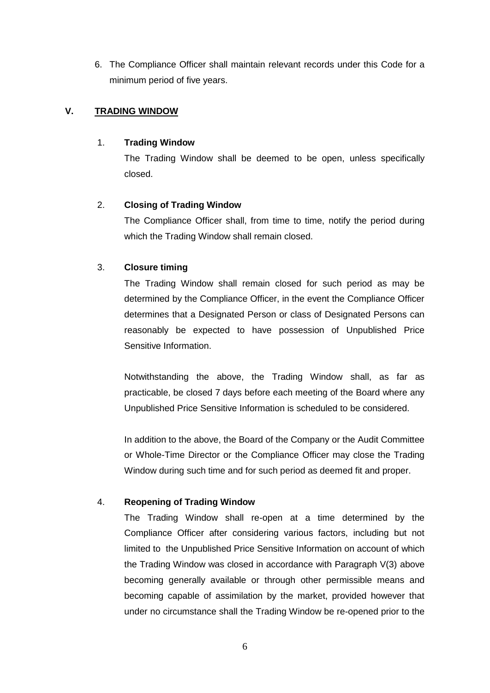6. The Compliance Officer shall maintain relevant records under this Code for a minimum period of five years.

### **V. TRADING WINDOW**

### 1. **Trading Window**

The Trading Window shall be deemed to be open, unless specifically closed.

### 2. **Closing of Trading Window**

The Compliance Officer shall, from time to time, notify the period during which the Trading Window shall remain closed.

### 3. **Closure timing**

The Trading Window shall remain closed for such period as may be determined by the Compliance Officer, in the event the Compliance Officer determines that a Designated Person or class of Designated Persons can reasonably be expected to have possession of Unpublished Price Sensitive Information.

Notwithstanding the above, the Trading Window shall, as far as practicable, be closed 7 days before each meeting of the Board where any Unpublished Price Sensitive Information is scheduled to be considered.

In addition to the above, the Board of the Company or the Audit Committee or Whole-Time Director or the Compliance Officer may close the Trading Window during such time and for such period as deemed fit and proper.

### 4. **Reopening of Trading Window**

The Trading Window shall re-open at a time determined by the Compliance Officer after considering various factors, including but not limited to the Unpublished Price Sensitive Information on account of which the Trading Window was closed in accordance with Paragraph V(3) above becoming generally available or through other permissible means and becoming capable of assimilation by the market, provided however that under no circumstance shall the Trading Window be re-opened prior to the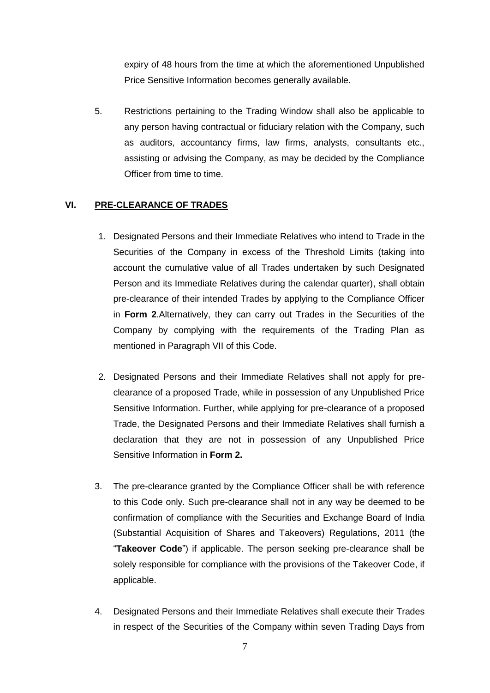expiry of 48 hours from the time at which the aforementioned Unpublished Price Sensitive Information becomes generally available.

5. Restrictions pertaining to the Trading Window shall also be applicable to any person having contractual or fiduciary relation with the Company, such as auditors, accountancy firms, law firms, analysts, consultants etc., assisting or advising the Company, as may be decided by the Compliance Officer from time to time.

### **VI. PRE-CLEARANCE OF TRADES**

- 1. Designated Persons and their Immediate Relatives who intend to Trade in the Securities of the Company in excess of the Threshold Limits (taking into account the cumulative value of all Trades undertaken by such Designated Person and its Immediate Relatives during the calendar quarter), shall obtain pre-clearance of their intended Trades by applying to the Compliance Officer in **Form 2**.Alternatively, they can carry out Trades in the Securities of the Company by complying with the requirements of the Trading Plan as mentioned in Paragraph VII of this Code.
- 2. Designated Persons and their Immediate Relatives shall not apply for preclearance of a proposed Trade, while in possession of any Unpublished Price Sensitive Information. Further, while applying for pre-clearance of a proposed Trade, the Designated Persons and their Immediate Relatives shall furnish a declaration that they are not in possession of any Unpublished Price Sensitive Information in **Form 2.**
- 3. The pre-clearance granted by the Compliance Officer shall be with reference to this Code only. Such pre-clearance shall not in any way be deemed to be confirmation of compliance with the Securities and Exchange Board of India (Substantial Acquisition of Shares and Takeovers) Regulations, 2011 (the "**Takeover Code**") if applicable. The person seeking pre-clearance shall be solely responsible for compliance with the provisions of the Takeover Code, if applicable.
- 4. Designated Persons and their Immediate Relatives shall execute their Trades in respect of the Securities of the Company within seven Trading Days from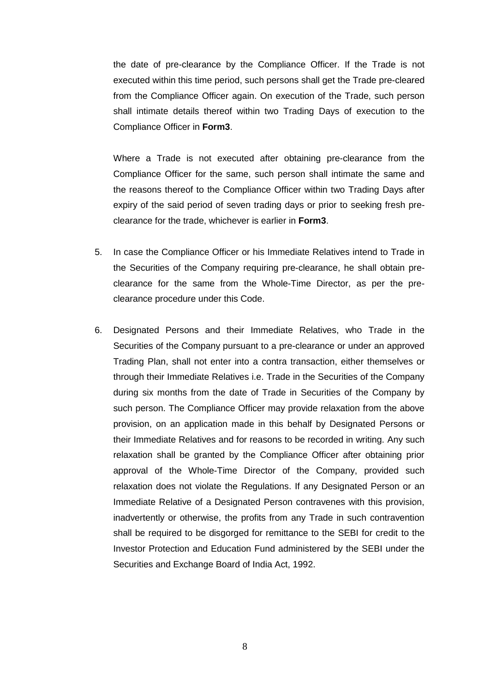the date of pre-clearance by the Compliance Officer. If the Trade is not executed within this time period, such persons shall get the Trade pre-cleared from the Compliance Officer again. On execution of the Trade, such person shall intimate details thereof within two Trading Days of execution to the Compliance Officer in **Form3**.

Where a Trade is not executed after obtaining pre-clearance from the Compliance Officer for the same, such person shall intimate the same and the reasons thereof to the Compliance Officer within two Trading Days after expiry of the said period of seven trading days or prior to seeking fresh preclearance for the trade, whichever is earlier in **Form3**.

- 5. In case the Compliance Officer or his Immediate Relatives intend to Trade in the Securities of the Company requiring pre-clearance, he shall obtain preclearance for the same from the Whole-Time Director, as per the preclearance procedure under this Code.
- 6. Designated Persons and their Immediate Relatives, who Trade in the Securities of the Company pursuant to a pre-clearance or under an approved Trading Plan, shall not enter into a contra transaction, either themselves or through their Immediate Relatives i.e. Trade in the Securities of the Company during six months from the date of Trade in Securities of the Company by such person. The Compliance Officer may provide relaxation from the above provision, on an application made in this behalf by Designated Persons or their Immediate Relatives and for reasons to be recorded in writing. Any such relaxation shall be granted by the Compliance Officer after obtaining prior approval of the Whole-Time Director of the Company, provided such relaxation does not violate the Regulations. If any Designated Person or an Immediate Relative of a Designated Person contravenes with this provision, inadvertently or otherwise, the profits from any Trade in such contravention shall be required to be disgorged for remittance to the SEBI for credit to the Investor Protection and Education Fund administered by the SEBI under the Securities and Exchange Board of India Act, 1992.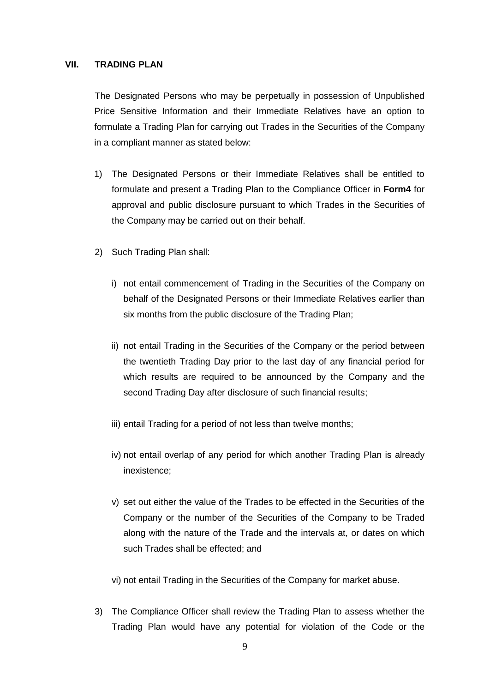### **VII. TRADING PLAN**

The Designated Persons who may be perpetually in possession of Unpublished Price Sensitive Information and their Immediate Relatives have an option to formulate a Trading Plan for carrying out Trades in the Securities of the Company in a compliant manner as stated below:

- 1) The Designated Persons or their Immediate Relatives shall be entitled to formulate and present a Trading Plan to the Compliance Officer in **Form4** for approval and public disclosure pursuant to which Trades in the Securities of the Company may be carried out on their behalf.
- 2) Such Trading Plan shall:
	- i) not entail commencement of Trading in the Securities of the Company on behalf of the Designated Persons or their Immediate Relatives earlier than six months from the public disclosure of the Trading Plan;
	- ii) not entail Trading in the Securities of the Company or the period between the twentieth Trading Day prior to the last day of any financial period for which results are required to be announced by the Company and the second Trading Day after disclosure of such financial results;
	- iii) entail Trading for a period of not less than twelve months;
	- iv) not entail overlap of any period for which another Trading Plan is already inexistence;
	- v) set out either the value of the Trades to be effected in the Securities of the Company or the number of the Securities of the Company to be Traded along with the nature of the Trade and the intervals at, or dates on which such Trades shall be effected; and
	- vi) not entail Trading in the Securities of the Company for market abuse.
- 3) The Compliance Officer shall review the Trading Plan to assess whether the Trading Plan would have any potential for violation of the Code or the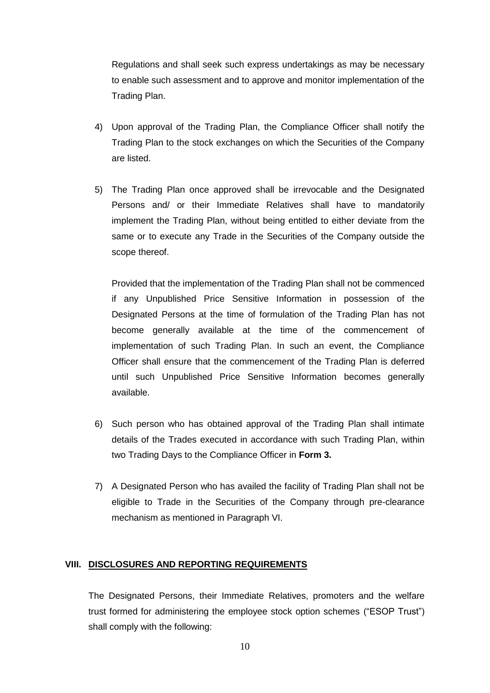Regulations and shall seek such express undertakings as may be necessary to enable such assessment and to approve and monitor implementation of the Trading Plan.

- 4) Upon approval of the Trading Plan, the Compliance Officer shall notify the Trading Plan to the stock exchanges on which the Securities of the Company are listed.
- 5) The Trading Plan once approved shall be irrevocable and the Designated Persons and/ or their Immediate Relatives shall have to mandatorily implement the Trading Plan, without being entitled to either deviate from the same or to execute any Trade in the Securities of the Company outside the scope thereof.

Provided that the implementation of the Trading Plan shall not be commenced if any Unpublished Price Sensitive Information in possession of the Designated Persons at the time of formulation of the Trading Plan has not become generally available at the time of the commencement of implementation of such Trading Plan. In such an event, the Compliance Officer shall ensure that the commencement of the Trading Plan is deferred until such Unpublished Price Sensitive Information becomes generally available.

- 6) Such person who has obtained approval of the Trading Plan shall intimate details of the Trades executed in accordance with such Trading Plan, within two Trading Days to the Compliance Officer in **Form 3.**
- 7) A Designated Person who has availed the facility of Trading Plan shall not be eligible to Trade in the Securities of the Company through pre-clearance mechanism as mentioned in Paragraph VI.

#### **VIII. DISCLOSURES AND REPORTING REQUIREMENTS**

The Designated Persons, their Immediate Relatives, promoters and the welfare trust formed for administering the employee stock option schemes ("ESOP Trust") shall comply with the following: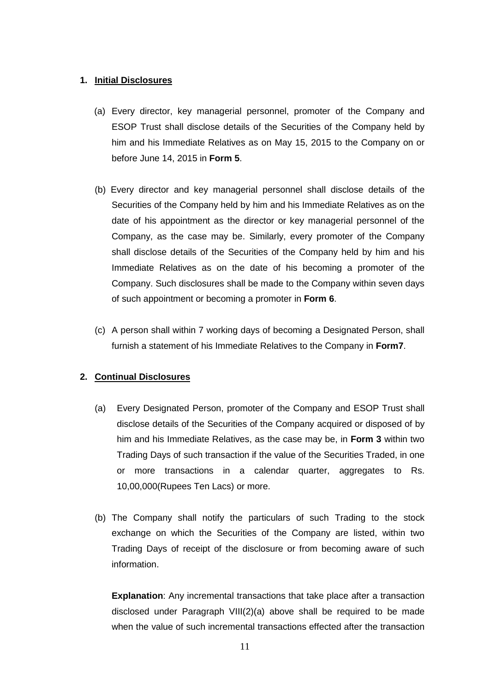### **1. Initial Disclosures**

- (a) Every director, key managerial personnel, promoter of the Company and ESOP Trust shall disclose details of the Securities of the Company held by him and his Immediate Relatives as on May 15, 2015 to the Company on or before June 14, 2015 in **Form 5**.
- (b) Every director and key managerial personnel shall disclose details of the Securities of the Company held by him and his Immediate Relatives as on the date of his appointment as the director or key managerial personnel of the Company, as the case may be. Similarly, every promoter of the Company shall disclose details of the Securities of the Company held by him and his Immediate Relatives as on the date of his becoming a promoter of the Company. Such disclosures shall be made to the Company within seven days of such appointment or becoming a promoter in **Form 6**.
- (c) A person shall within 7 working days of becoming a Designated Person, shall furnish a statement of his Immediate Relatives to the Company in **Form7**.

### **2. Continual Disclosures**

- (a) Every Designated Person, promoter of the Company and ESOP Trust shall disclose details of the Securities of the Company acquired or disposed of by him and his Immediate Relatives, as the case may be, in **Form 3** within two Trading Days of such transaction if the value of the Securities Traded, in one or more transactions in a calendar quarter, aggregates to Rs. 10,00,000(Rupees Ten Lacs) or more.
- (b) The Company shall notify the particulars of such Trading to the stock exchange on which the Securities of the Company are listed, within two Trading Days of receipt of the disclosure or from becoming aware of such information.

**Explanation**: Any incremental transactions that take place after a transaction disclosed under Paragraph VIII(2)(a) above shall be required to be made when the value of such incremental transactions effected after the transaction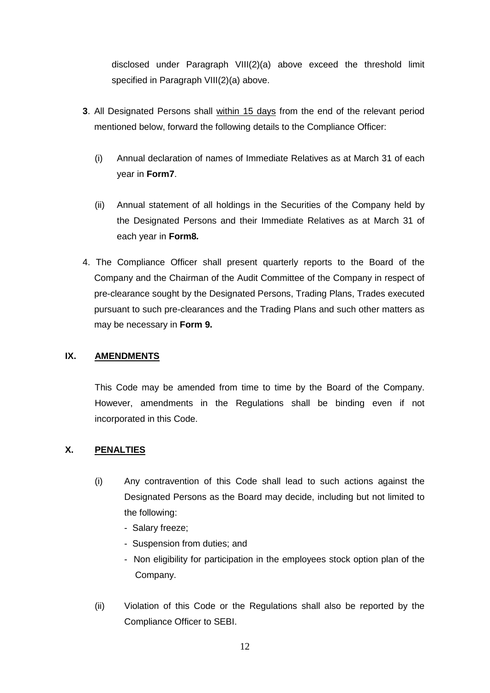disclosed under Paragraph VIII(2)(a) above exceed the threshold limit specified in Paragraph VIII(2)(a) above.

- **3**. All Designated Persons shall within 15 days from the end of the relevant period mentioned below, forward the following details to the Compliance Officer:
	- (i) Annual declaration of names of Immediate Relatives as at March 31 of each year in **Form7**.
	- (ii) Annual statement of all holdings in the Securities of the Company held by the Designated Persons and their Immediate Relatives as at March 31 of each year in **Form8***.*
- 4. The Compliance Officer shall present quarterly reports to the Board of the Company and the Chairman of the Audit Committee of the Company in respect of pre-clearance sought by the Designated Persons, Trading Plans, Trades executed pursuant to such pre-clearances and the Trading Plans and such other matters as may be necessary in **Form 9.**

### **IX. AMENDMENTS**

This Code may be amended from time to time by the Board of the Company. However, amendments in the Regulations shall be binding even if not incorporated in this Code.

### **X. PENALTIES**

- (i) Any contravention of this Code shall lead to such actions against the Designated Persons as the Board may decide, including but not limited to the following:
	- Salary freeze;
	- Suspension from duties; and
	- Non eligibility for participation in the employees stock option plan of the Company.
- (ii) Violation of this Code or the Regulations shall also be reported by the Compliance Officer to SEBI.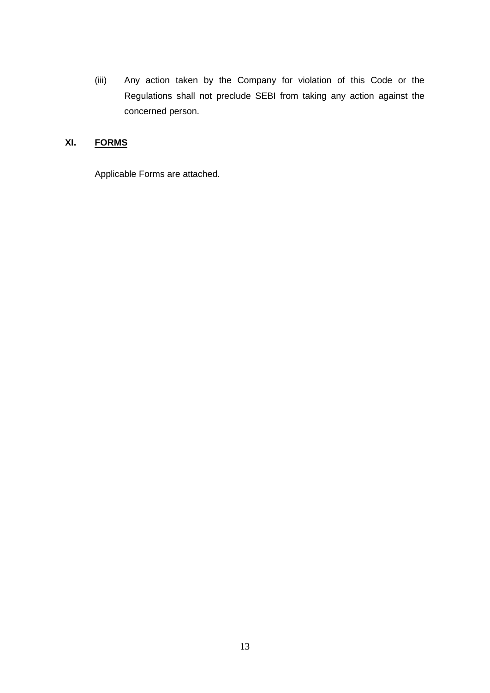(iii) Any action taken by the Company for violation of this Code or the Regulations shall not preclude SEBI from taking any action against the concerned person.

## **XI. FORMS**

Applicable Forms are attached.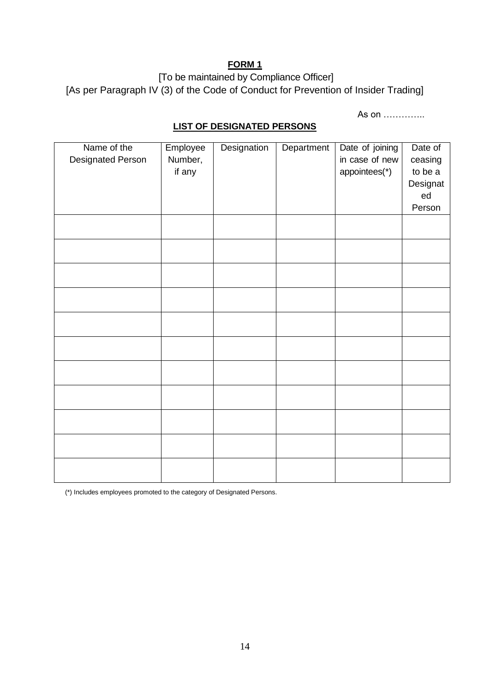[To be maintained by Compliance Officer] [As per Paragraph IV (3) of the Code of Conduct for Prevention of Insider Trading]

As on …………..

## **LIST OF DESIGNATED PERSONS**

| Name of the<br><b>Designated Person</b> | Employee<br>Number,<br>if any | Designation | Department | Date of joining<br>in case of new<br>appointees(*) | Date of<br>ceasing<br>to be a<br>Designat<br>ed<br>Person |
|-----------------------------------------|-------------------------------|-------------|------------|----------------------------------------------------|-----------------------------------------------------------|
|                                         |                               |             |            |                                                    |                                                           |
|                                         |                               |             |            |                                                    |                                                           |
|                                         |                               |             |            |                                                    |                                                           |
|                                         |                               |             |            |                                                    |                                                           |
|                                         |                               |             |            |                                                    |                                                           |
|                                         |                               |             |            |                                                    |                                                           |
|                                         |                               |             |            |                                                    |                                                           |
|                                         |                               |             |            |                                                    |                                                           |
|                                         |                               |             |            |                                                    |                                                           |
|                                         |                               |             |            |                                                    |                                                           |
|                                         |                               |             |            |                                                    |                                                           |

(\*) Includes employees promoted to the category of Designated Persons.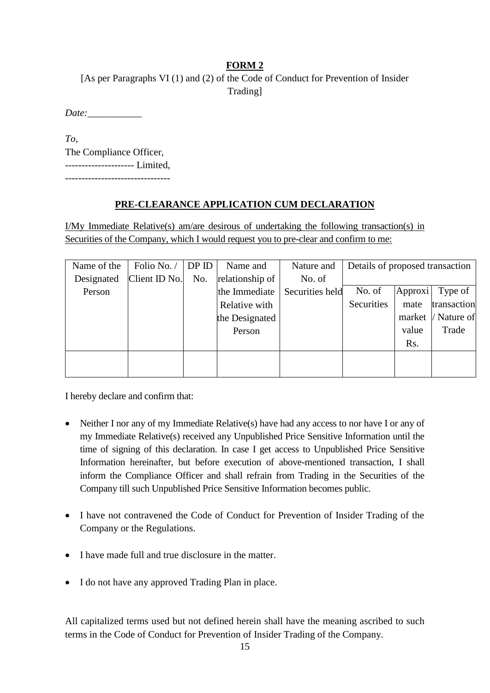[As per Paragraphs VI (1) and (2) of the Code of Conduct for Prevention of Insider Trading]

*Date:\_\_\_\_\_\_\_\_\_\_\_*

*To,*  The Compliance Officer, --------------------- Limited, --------------------------------

### **PRE-CLEARANCE APPLICATION CUM DECLARATION**

I/My Immediate Relative(s) am/are desirous of undertaking the following transaction(s) in Securities of the Company, which I would request you to pre-clear and confirm to me:

| Name of the | Folio No.     | DPID | Name and        | Nature and      | Details of proposed transaction |                  |             |
|-------------|---------------|------|-----------------|-----------------|---------------------------------|------------------|-------------|
| Designated  | Client ID No. | No.  | relationship of | No. of          |                                 |                  |             |
| Person      |               |      | the Immediate   | Securities held | No. of                          | Approxi          | Type of     |
|             |               |      | Relative with   |                 | Securities                      | mate             | transaction |
|             |               |      | the Designated  |                 |                                 | market           | / Nature of |
|             |               |      | Person          |                 |                                 | value            | Trade       |
|             |               |      |                 |                 |                                 | R <sub>s</sub> . |             |
|             |               |      |                 |                 |                                 |                  |             |
|             |               |      |                 |                 |                                 |                  |             |

I hereby declare and confirm that:

- Neither I nor any of my Immediate Relative(s) have had any access to nor have I or any of my Immediate Relative(s) received any Unpublished Price Sensitive Information until the time of signing of this declaration. In case I get access to Unpublished Price Sensitive Information hereinafter, but before execution of above-mentioned transaction, I shall inform the Compliance Officer and shall refrain from Trading in the Securities of the Company till such Unpublished Price Sensitive Information becomes public.
- I have not contravened the Code of Conduct for Prevention of Insider Trading of the Company or the Regulations.
- I have made full and true disclosure in the matter.
- I do not have any approved Trading Plan in place.

All capitalized terms used but not defined herein shall have the meaning ascribed to such terms in the Code of Conduct for Prevention of Insider Trading of the Company.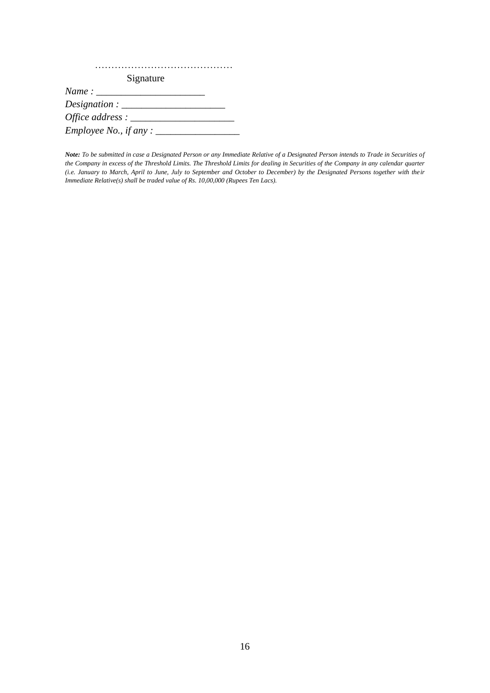| Signature                                                             |
|-----------------------------------------------------------------------|
| Name:                                                                 |
| $Designation: \_\_\_\_\_\_\_\_\_\_\_\_\_\_\_\_\_\_\_\_\_\_\_\_\_\_\_$ |
| Office address : $\_\_$                                               |
| <i>Employee No., if any</i> : $\_\_$                                  |

*Note: To be submitted in case a Designated Person or any Immediate Relative of a Designated Person intends to Trade in Securities of the Company in excess of the Threshold Limits. The Threshold Limits for dealing in Securities of the Company in any calendar quarter (i.e. January to March, April to June, July to September and October to December) by the Designated Persons together with their Immediate Relative(s) shall be traded value of Rs. 10,00,000 (Rupees Ten Lacs).*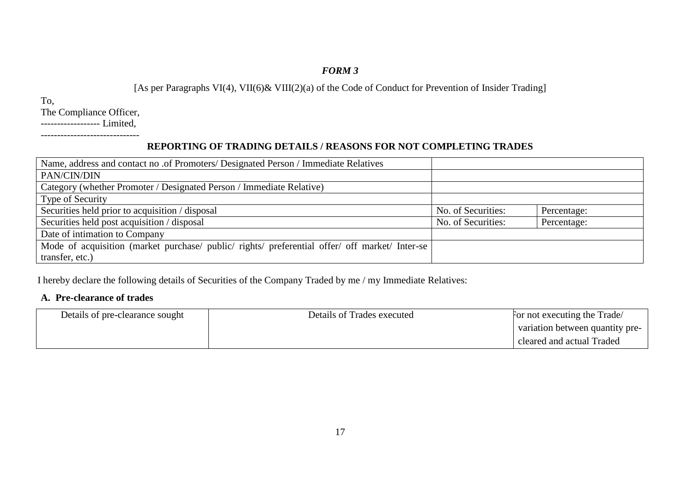[As per Paragraphs VI(4), VII(6)& VIII(2)(a) of the Code of Conduct for Prevention of Insider Trading]

To,

The Compliance Officer,

------------------ Limited,

#### ------------------------------

## **REPORTING OF TRADING DETAILS / REASONS FOR NOT COMPLETING TRADES**

| Name, address and contact no .of Promoters/ Designated Person / Immediate Relatives            |                    |             |
|------------------------------------------------------------------------------------------------|--------------------|-------------|
| PAN/CIN/DIN                                                                                    |                    |             |
| Category (whether Promoter / Designated Person / Immediate Relative)                           |                    |             |
| Type of Security                                                                               |                    |             |
| Securities held prior to acquisition / disposal                                                | No. of Securities: | Percentage: |
| Securities held post acquisition / disposal                                                    | No. of Securities: | Percentage: |
| Date of intimation to Company                                                                  |                    |             |
| Mode of acquisition (market purchase/ public/ rights/ preferential offer/ off market/ Inter-se |                    |             |
| transfer, etc.)                                                                                |                    |             |

I hereby declare the following details of Securities of the Company Traded by me / my Immediate Relatives:

### **A. Pre-clearance of trades**

| Details of pre-clearance sought | Details of Trades executed | For not executing the Trade/    |
|---------------------------------|----------------------------|---------------------------------|
|                                 |                            | variation between quantity pre- |
|                                 |                            | cleared and actual Traded       |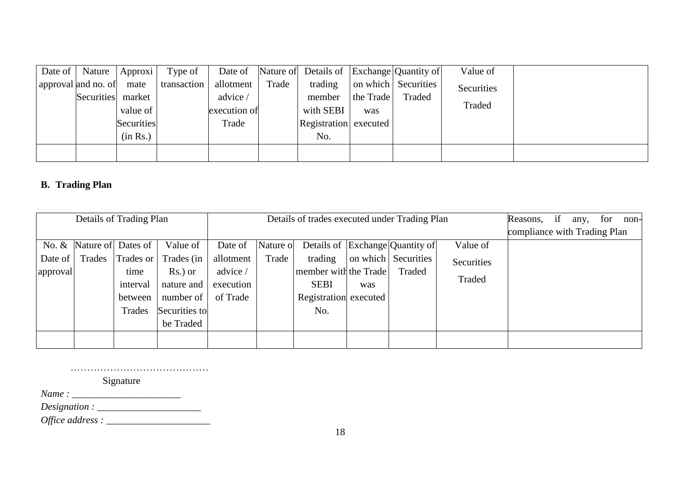|                          | Date of   Nature   Approxi | Type of     | Date of      |       | Nature of Details of Exchange Quantity of |           |                     | Value of   |  |
|--------------------------|----------------------------|-------------|--------------|-------|-------------------------------------------|-----------|---------------------|------------|--|
| approval and no. of mate |                            | transaction | allotment    | Trade | trading                                   |           | on which Securities | Securities |  |
| Securities market        |                            |             | advice /     |       | member                                    | the Trade | Traded              |            |  |
|                          | value of                   |             | execution of |       | with SEBI                                 | was       |                     | Traded     |  |
|                          | Securities                 |             | Trade        |       | Registration executed                     |           |                     |            |  |
|                          | (in Rs.)                   |             |              |       | No.                                       |           |                     |            |  |
|                          |                            |             |              |       |                                           |           |                     |            |  |
|                          |                            |             |              |       |                                           |           |                     |            |  |

# **B. Trading Plan**

|                                        |        | Details of Trading Plan                                                  |                                                                                            |                                                           |                    | Details of trades executed under Trading Plan                                   |     |                                                                  | Reasons,<br>compliance with Trading Plan | if | any, | for | non- |  |
|----------------------------------------|--------|--------------------------------------------------------------------------|--------------------------------------------------------------------------------------------|-----------------------------------------------------------|--------------------|---------------------------------------------------------------------------------|-----|------------------------------------------------------------------|------------------------------------------|----|------|-----|------|--|
| No. $&$<br>Date of $\vert$<br>approval | Trades | Nature of Dates of<br>Trades or<br>time<br>interval<br>between<br>Trades | Value of<br>Trades (in<br>Rs.) or<br>nature and<br>number of<br>Securities to<br>be Traded | Date of<br>allotment<br>advice /<br>execution<br>of Trade | Nature of<br>Trade | trading<br>member with the Trade<br><b>SEBI</b><br>Registration executed<br>No. | was | Details of Exchange Quantity of<br>on which Securities<br>Traded | Value of<br>Securities<br>Traded         |    |      |     |      |  |

……………………………………

Signature

*Name : \_\_\_\_\_\_\_\_\_\_\_\_\_\_\_\_\_\_\_\_\_\_*

*Designation : \_\_\_\_\_\_\_\_\_\_\_\_\_\_\_\_\_\_\_\_\_*

*Office address : \_\_\_\_\_\_\_\_\_\_\_\_\_\_\_\_\_\_\_\_\_*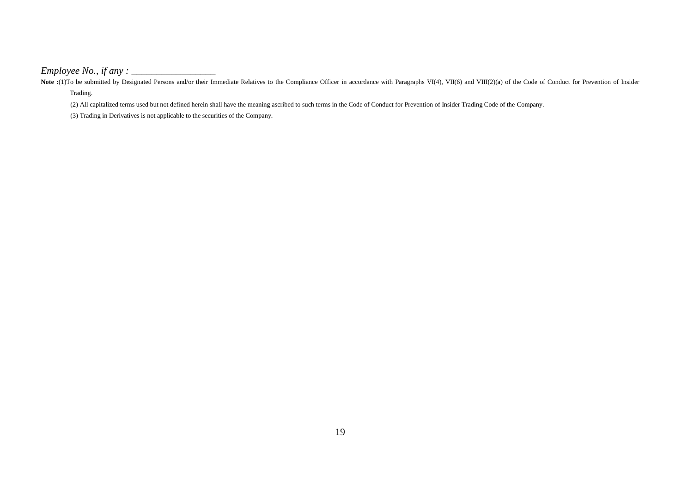*Employee No., if any : \_\_\_\_\_\_\_\_\_\_\_\_\_\_\_\_\_*

Note :(1)To be submitted by Designated Persons and/or their Immediate Relatives to the Compliance Officer in accordance with Paragraphs VI(4), VII(6) and VIII(2)(a) of the Code of Conduct for Prevention of Insider Trading.

(2) All capitalized terms used but not defined herein shall have the meaning ascribed to such terms in the Code of Conduct for Prevention of Insider Trading Code of the Company.

(3) Trading in Derivatives is not applicable to the securities of the Company.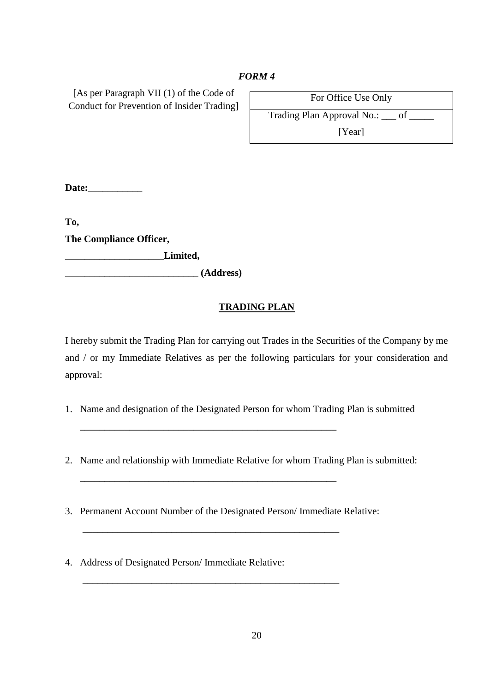[As per Paragraph VII (1) of the Code of Conduct for Prevention of Insider Trading]

| For Office Use Only                     |  |
|-----------------------------------------|--|
| Trading Plan Approval No.: <u>__</u> of |  |

[Year]

**Date:\_\_\_\_\_\_\_\_\_\_\_**

**To, The Compliance Officer,** 

**\_\_\_\_\_\_\_\_\_\_\_\_\_\_\_\_\_\_\_\_Limited,**

**\_\_\_\_\_\_\_\_\_\_\_\_\_\_\_\_\_\_\_\_\_\_\_\_\_\_\_ (Address)**

### **TRADING PLAN**

I hereby submit the Trading Plan for carrying out Trades in the Securities of the Company by me and / or my Immediate Relatives as per the following particulars for your consideration and approval:

- 1. Name and designation of the Designated Person for whom Trading Plan is submitted
- 2. Name and relationship with Immediate Relative for whom Trading Plan is submitted:
- 3. Permanent Account Number of the Designated Person/ Immediate Relative:

\_\_\_\_\_\_\_\_\_\_\_\_\_\_\_\_\_\_\_\_\_\_\_\_\_\_\_\_\_\_\_\_\_\_\_\_\_\_\_\_\_\_\_\_\_\_\_\_\_\_\_\_

\_\_\_\_\_\_\_\_\_\_\_\_\_\_\_\_\_\_\_\_\_\_\_\_\_\_\_\_\_\_\_\_\_\_\_\_\_\_\_\_\_\_\_\_\_\_\_\_\_\_\_\_

\_\_\_\_\_\_\_\_\_\_\_\_\_\_\_\_\_\_\_\_\_\_\_\_\_\_\_\_\_\_\_\_\_\_\_\_\_\_\_\_\_\_\_\_\_\_\_\_\_\_\_\_

\_\_\_\_\_\_\_\_\_\_\_\_\_\_\_\_\_\_\_\_\_\_\_\_\_\_\_\_\_\_\_\_\_\_\_\_\_\_\_\_\_\_\_\_\_\_\_\_\_\_\_\_

4. Address of Designated Person/ Immediate Relative: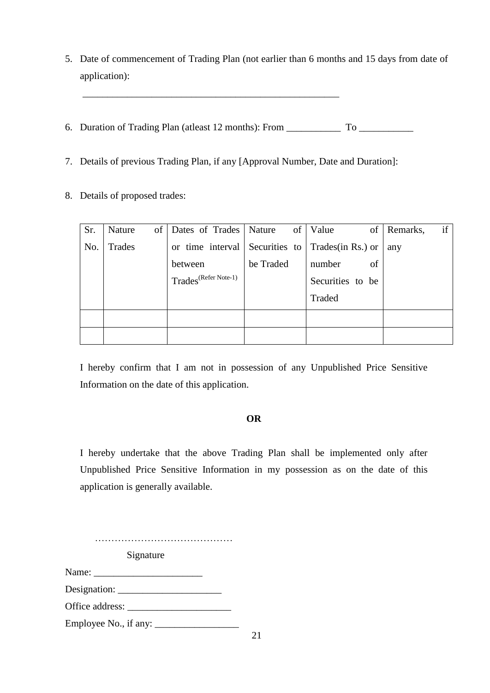- 5. Date of commencement of Trading Plan (not earlier than 6 months and 15 days from date of application):
- 6. Duration of Trading Plan (atleast 12 months): From \_\_\_\_\_\_\_\_\_\_\_ To \_\_\_\_\_\_\_\_\_\_\_
- 7. Details of previous Trading Plan, if any [Approval Number, Date and Duration]:

\_\_\_\_\_\_\_\_\_\_\_\_\_\_\_\_\_\_\_\_\_\_\_\_\_\_\_\_\_\_\_\_\_\_\_\_\_\_\_\_\_\_\_\_\_\_\_\_\_\_\_\_

8. Details of proposed trades:

| Sr. | of<br>Nature | Dates of Trades   Nature         |           | of   Value<br>Οf                                          | if<br>Remarks, |
|-----|--------------|----------------------------------|-----------|-----------------------------------------------------------|----------------|
| No. | Trades       |                                  |           | or time interval Securities to $\Gamma$ Trades(in Rs.) or | any            |
|     |              | between                          | be Traded | number<br>of                                              |                |
|     |              | Trades <sup>(Refer Note-1)</sup> |           | Securities to be                                          |                |
|     |              |                                  |           | Traded                                                    |                |
|     |              |                                  |           |                                                           |                |
|     |              |                                  |           |                                                           |                |

I hereby confirm that I am not in possession of any Unpublished Price Sensitive Information on the date of this application.

### **OR**

I hereby undertake that the above Trading Plan shall be implemented only after Unpublished Price Sensitive Information in my possession as on the date of this application is generally available.

……………………………………

Signature

Name:

Designation: \_\_\_\_\_\_\_\_\_\_\_\_\_\_\_\_\_\_\_\_\_

Office address: \_\_\_\_\_\_\_\_\_\_\_\_\_\_\_\_\_\_\_\_\_

Employee No., if any: \_\_\_\_\_\_\_\_\_\_\_\_\_\_\_\_\_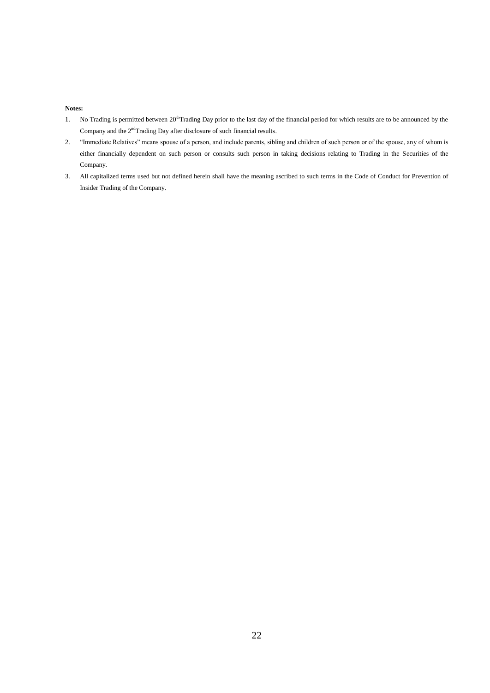#### **Notes:**

- 1. No Trading is permitted between 20<sup>th</sup>Trading Day prior to the last day of the financial period for which results are to be announced by the Company and the 2<sup>nd</sup>Trading Day after disclosure of such financial results.
- 2. "Immediate Relatives" means spouse of a person, and include parents, sibling and children of such person or of the spouse, any of whom is either financially dependent on such person or consults such person in taking decisions relating to Trading in the Securities of the Company.
- 3. All capitalized terms used but not defined herein shall have the meaning ascribed to such terms in the Code of Conduct for Prevention of Insider Trading of the Company.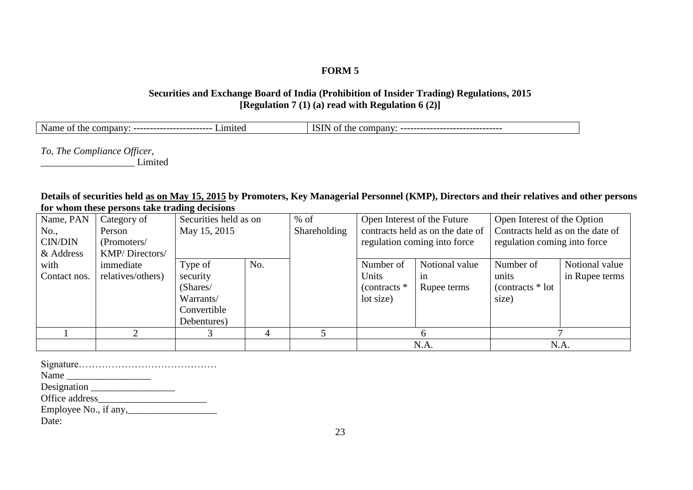### **Securities and Exchange Board of India (Prohibition of Insider Trading) Regulations, 2015 [Regulation 7 (1) (a) read with Regulation 6 (2)]**

| - -<br>Name<br>≅miteα<br>the<br>$\sim$ company.<br>OТ<br>------------------ | - astN⊑<br>company<br>the<br>ΤС<br>-------------------------<br>-------- |
|-----------------------------------------------------------------------------|--------------------------------------------------------------------------|
|                                                                             |                                                                          |

*To, The Compliance Officer,* 

\_\_\_\_\_\_\_\_\_\_\_\_\_\_\_\_\_\_\_ Limited

#### **Details of securities held as on May 15, 2015 by Promoters, Key Managerial Personnel (KMP), Directors and their relatives and other persons for whom these persons take trading decisions**

| Name, PAN    | Category of       |              | Securities held as on<br>$%$ of |              | Open Interest of the Future |                                  | Open Interest of the Option      |                |
|--------------|-------------------|--------------|---------------------------------|--------------|-----------------------------|----------------------------------|----------------------------------|----------------|
| No.,         | Person            | May 15, 2015 |                                 | Shareholding |                             | contracts held as on the date of | Contracts held as on the date of |                |
| CIN/DIN      | (Promoters/       |              |                                 |              |                             | regulation coming into force     | regulation coming into force     |                |
| & Address    | KMP/Directors/    |              |                                 |              |                             |                                  |                                  |                |
| with         | immediate         | Type of      | No.                             |              | Number of                   | Notional value                   | Number of                        | Notional value |
| Contact nos. | relatives/others) | security     |                                 |              | Units                       | 1n                               | units                            | in Rupee terms |
|              |                   | (Shares/     |                                 |              | (contracts $*$              | Rupee terms                      | $(contrast * lot)$               |                |
|              |                   | Warrants/    |                                 |              | lot size)                   |                                  | size)                            |                |
|              |                   | Convertible  |                                 |              |                             |                                  |                                  |                |
|              |                   | Debentures)  |                                 |              |                             |                                  |                                  |                |
|              |                   |              |                                 |              |                             | h                                |                                  |                |
|              |                   |              |                                 |              |                             | N.A.                             |                                  | N.A.           |

Signature…………………………………… Name \_\_\_\_\_\_\_\_\_\_\_\_\_\_\_\_\_ Designation \_\_\_\_\_\_\_\_\_\_\_\_\_\_\_\_\_ Office address\_\_\_\_\_\_\_\_\_\_\_\_\_\_\_\_\_\_\_\_\_\_ Employee No., if any,\_\_\_\_\_\_\_\_\_\_\_\_\_\_\_\_\_\_ Date: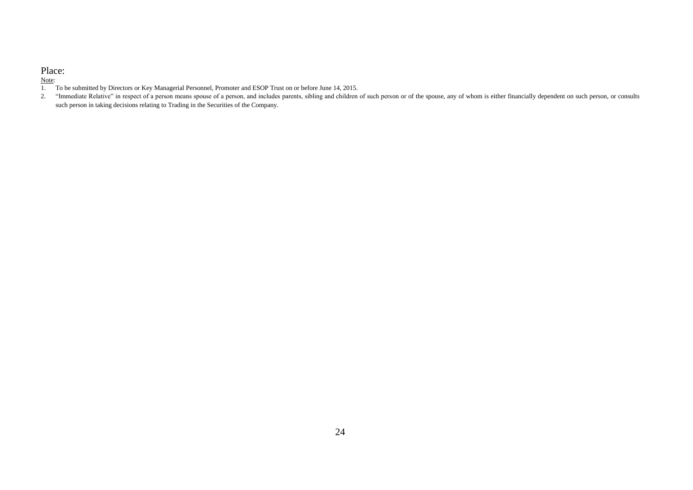#### Place:

#### Note:

- 1. To be submitted by Directors or Key Managerial Personnel, Promoter and ESOP Trust on or before June 14, 2015.
- 2. "Immediate Relative" in respect of a person means spouse of a person, and includes parents, sibling and children of such person or of the spouse, any of whom is either financially dependent on such person, or consults such person in taking decisions relating to Trading in the Securities of the Company.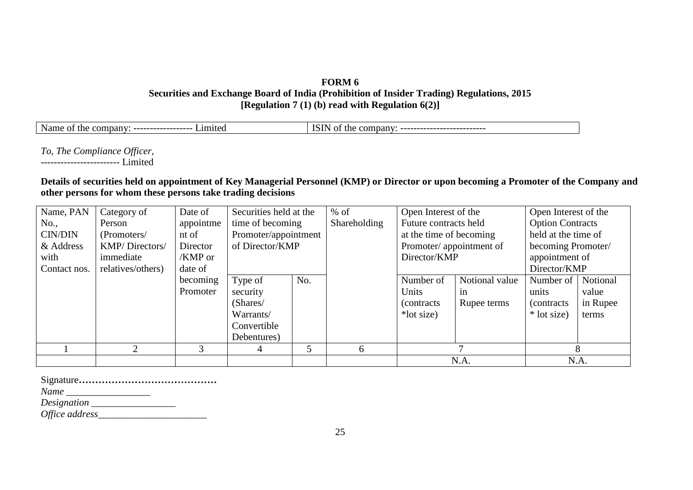### **FORM 6 Securities and Exchange Board of India (Prohibition of Insider Trading) Regulations, 2015 [Regulation 7 (1) (b) read with Regulation 6(2)]**

| - -<br>$\cdot$ 1m $^{\circ}$<br>Nan<br>$\cdot$<br><b>****</b><br>11164ء،<br><sub>cne</sub><br>-01<br>ne<br>----------------<br>uivaii<br>-- | ו רז<br>nan<br>OΤ<br>com<br>me<br>10 U<br>--------------------------- |
|---------------------------------------------------------------------------------------------------------------------------------------------|-----------------------------------------------------------------------|
|---------------------------------------------------------------------------------------------------------------------------------------------|-----------------------------------------------------------------------|

*To, The Compliance Officer,*  ------------------------ Limited

### **Details of securities held on appointment of Key Managerial Personnel (KMP) or Director or upon becoming a Promoter of the Company and other persons for whom these persons take trading decisions**

| Name, PAN      | Category of       | Date of   | Securities held at the |     | $%$ of       | Open Interest of the    |                | Open Interest of the    |          |
|----------------|-------------------|-----------|------------------------|-----|--------------|-------------------------|----------------|-------------------------|----------|
| No.,           | Person            | appointme | time of becoming       |     | Shareholding | Future contracts held   |                | <b>Option Contracts</b> |          |
| <b>CIN/DIN</b> | (Promoters/       | nt of     | Promoter/appointment   |     |              | at the time of becoming |                | held at the time of     |          |
| & Address      | KMP/Directors/    | Director  | of Director/KMP        |     |              | Promoter/appointment of |                | becoming Promoter/      |          |
| with           | immediate         | $/KMP$ or |                        |     |              | Director/KMP            |                | appointment of          |          |
| Contact nos.   | relatives/others) | date of   |                        |     |              | Director/KMP            |                |                         |          |
|                |                   | becoming  | Type of                | No. |              | Number of               | Notional value | Number of               | Notional |
|                |                   | Promoter  | security               |     |              | Units                   | in             | units                   | value    |
|                |                   |           | (Shares/               |     |              | (contracts)             | Rupee terms    | <i>(contracts)</i>      | in Rupee |
|                |                   |           | Warrants/              |     |              | *lot size)              |                | * lot size)             | terms    |
|                |                   |           | Convertible            |     |              |                         |                |                         |          |
|                |                   |           | Debentures)            |     |              |                         |                |                         |          |
|                | $\overline{2}$    |           | 4                      | 5   | <sub>6</sub> |                         |                |                         | 8        |
|                |                   |           |                        |     |              | N.A.                    |                | N.A.                    |          |

Signature**……………………………………**

*Name \_\_\_\_\_\_\_\_\_\_\_\_\_\_\_\_\_*

*Designation \_\_\_\_\_\_\_\_\_\_\_\_\_\_\_\_\_*

*Office address\_\_\_\_\_\_\_\_\_\_\_\_\_\_\_\_\_\_\_\_\_\_*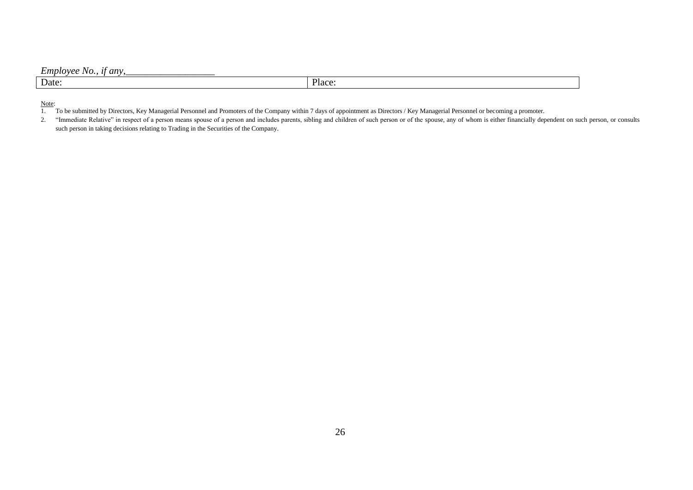### *Employee No., if any,*

| Date: |  | $\sim$<br>- ברד<br>м |
|-------|--|----------------------|
|       |  |                      |

#### Note:

1. To be submitted by Directors, Key Managerial Personnel and Promoters of the Company within 7 days of appointment as Directors / Key Managerial Personnel or becoming a promoter.

<sup>2. &</sup>quot;Immediate Relative" in respect of a person means spouse of a person and includes parents, sibling and children of such person or of the spouse, any of whom is either financially dependent on such person, or consults such person in taking decisions relating to Trading in the Securities of the Company.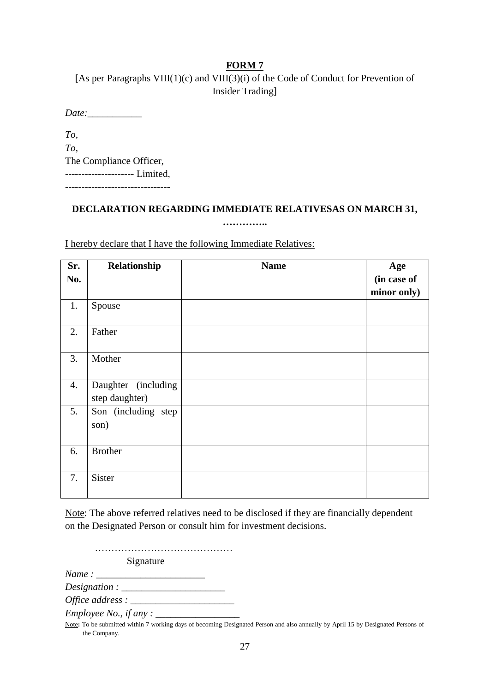[As per Paragraphs VIII(1)(c) and VIII(3)(i) of the Code of Conduct for Prevention of Insider Trading]

*Date:\_\_\_\_\_\_\_\_\_\_\_*

*To, To,*  The Compliance Officer, --------------------- Limited,

--------------------------------

### **DECLARATION REGARDING IMMEDIATE RELATIVESAS ON MARCH 31, …………..**

I hereby declare that I have the following Immediate Relatives:

| Sr.<br>No. | Relationship                          | <b>Name</b> | Age<br>(in case of |
|------------|---------------------------------------|-------------|--------------------|
|            |                                       |             | minor only)        |
| 1.         | Spouse                                |             |                    |
| 2.         | Father                                |             |                    |
| 3.         | Mother                                |             |                    |
| 4.         | Daughter (including<br>step daughter) |             |                    |
| 5.         | Son (including step<br>son)           |             |                    |
| 6.         | <b>Brother</b>                        |             |                    |
| 7.         | Sister                                |             |                    |

Note: The above referred relatives need to be disclosed if they are financially dependent on the Designated Person or consult him for investment decisions.

…………………………………… Signature *Name* : *Designation : \_\_\_\_\_\_\_\_\_\_\_\_\_\_\_\_\_\_\_\_\_ Office address : \_\_\_\_\_\_\_\_\_\_\_\_\_\_\_\_\_\_\_\_\_*

*Employee No., if any : \_\_\_\_\_\_\_\_\_\_\_\_\_\_\_\_\_*

Note**:** To be submitted within 7 working days of becoming Designated Person and also annually by April 15 by Designated Persons of the Company.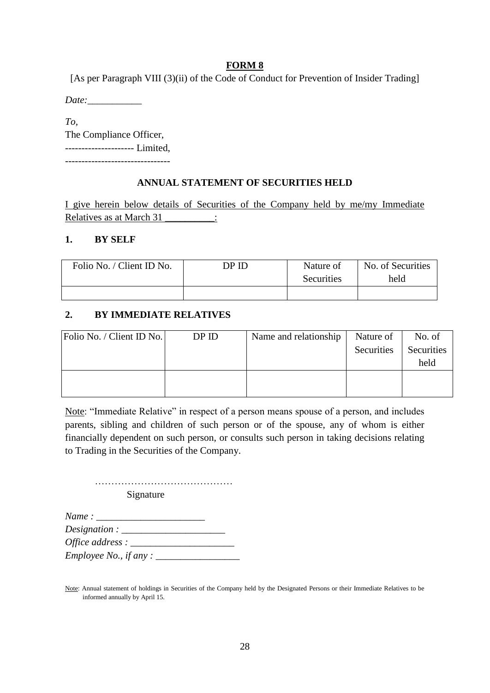[As per Paragraph VIII (3)(ii) of the Code of Conduct for Prevention of Insider Trading]

*Date:\_\_\_\_\_\_\_\_\_\_\_*

*To,*  The Compliance Officer, --------------------- Limited,

--------------------------------

### **ANNUAL STATEMENT OF SECURITIES HELD**

I give herein below details of Securities of the Company held by me/my Immediate Relatives as at March 31 \_\_\_\_\_\_\_\_\_:

### **1. BY SELF**

| Folio No. / Client ID No. | DP ID | Nature of<br>Securities | No. of Securities<br>held |  |
|---------------------------|-------|-------------------------|---------------------------|--|
|                           |       |                         |                           |  |

### **2. BY IMMEDIATE RELATIVES**

| Folio No. / Client ID No. | DPID | Name and relationship | Nature of  | No. of     |
|---------------------------|------|-----------------------|------------|------------|
|                           |      |                       | Securities | Securities |
|                           |      |                       |            | held       |
|                           |      |                       |            |            |
|                           |      |                       |            |            |

Note: "Immediate Relative" in respect of a person means spouse of a person, and includes parents, sibling and children of such person or of the spouse, any of whom is either financially dependent on such person, or consults such person in taking decisions relating to Trading in the Securities of the Company.

…………………………………… Signature

| Name:                          |  |
|--------------------------------|--|
|                                |  |
| Office address : $\frac{ }{ }$ |  |
| <i>Employee No., if any</i> :  |  |

Note: Annual statement of holdings in Securities of the Company held by the Designated Persons or their Immediate Relatives to be informed annually by April 15.